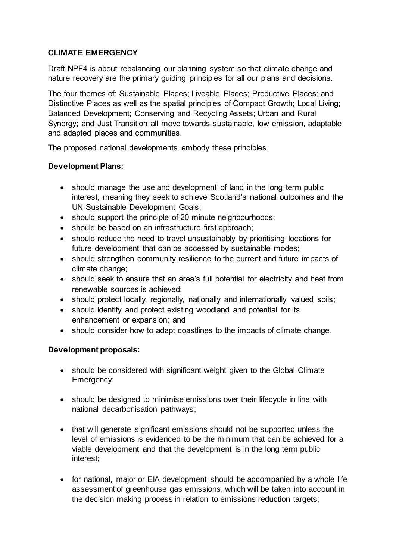# **CLIMATE EMERGENCY**

Draft NPF4 is about rebalancing our planning system so that climate change and nature recovery are the primary guiding principles for all our plans and decisions.

The four themes of: Sustainable Places; Liveable Places; Productive Places; and Distinctive Places as well as the spatial principles of Compact Growth; Local Living; Balanced Development; Conserving and Recycling Assets; Urban and Rural Synergy; and Just Transition all move towards sustainable, low emission, adaptable and adapted places and communities.

The proposed national developments embody these principles.

# **Development Plans:**

- should manage the use and development of land in the long term public interest, meaning they seek to achieve Scotland's national outcomes and the UN Sustainable Development Goals;
- should support the principle of 20 minute neighbourhoods;
- should be based on an infrastructure first approach;
- should reduce the need to travel unsustainably by prioritising locations for future development that can be accessed by sustainable modes;
- should strengthen community resilience to the current and future impacts of climate change;
- should seek to ensure that an area's full potential for electricity and heat from renewable sources is achieved;
- should protect locally, regionally, nationally and internationally valued soils;
- should identify and protect existing woodland and potential for its enhancement or expansion; and
- should consider how to adapt coastlines to the impacts of climate change.

# **Development proposals:**

- should be considered with significant weight given to the Global Climate Emergency;
- should be designed to minimise emissions over their lifecycle in line with national decarbonisation pathways;
- that will generate significant emissions should not be supported unless the level of emissions is evidenced to be the minimum that can be achieved for a viable development and that the development is in the long term public interest;
- for national, major or EIA development should be accompanied by a whole life assessment of greenhouse gas emissions, which will be taken into account in the decision making process in relation to emissions reduction targets;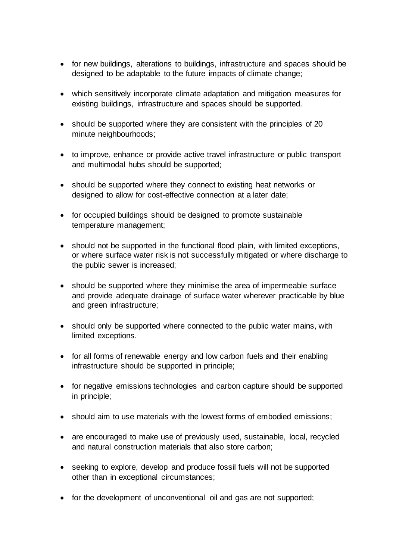- for new buildings, alterations to buildings, infrastructure and spaces should be designed to be adaptable to the future impacts of climate change;
- which sensitively incorporate climate adaptation and mitigation measures for existing buildings, infrastructure and spaces should be supported.
- should be supported where they are consistent with the principles of 20 minute neighbourhoods;
- to improve, enhance or provide active travel infrastructure or public transport and multimodal hubs should be supported;
- should be supported where they connect to existing heat networks or designed to allow for cost-effective connection at a later date;
- for occupied buildings should be designed to promote sustainable temperature management;
- should not be supported in the functional flood plain, with limited exceptions, or where surface water risk is not successfully mitigated or where discharge to the public sewer is increased;
- should be supported where they minimise the area of impermeable surface and provide adequate drainage of surface water wherever practicable by blue and green infrastructure;
- should only be supported where connected to the public water mains, with limited exceptions.
- for all forms of renewable energy and low carbon fuels and their enabling infrastructure should be supported in principle;
- for negative emissions technologies and carbon capture should be supported in principle;
- should aim to use materials with the lowest forms of embodied emissions;
- are encouraged to make use of previously used, sustainable, local, recycled and natural construction materials that also store carbon;
- seeking to explore, develop and produce fossil fuels will not be supported other than in exceptional circumstances;
- for the development of unconventional oil and gas are not supported;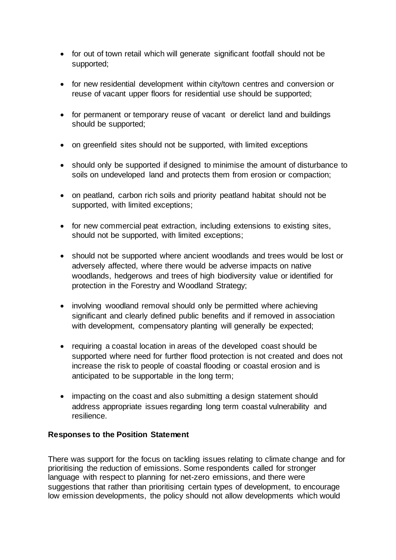- for out of town retail which will generate significant footfall should not be supported;
- for new residential development within city/town centres and conversion or reuse of vacant upper floors for residential use should be supported;
- for permanent or temporary reuse of vacant or derelict land and buildings should be supported;
- on greenfield sites should not be supported, with limited exceptions
- should only be supported if designed to minimise the amount of disturbance to soils on undeveloped land and protects them from erosion or compaction;
- on peatland, carbon rich soils and priority peatland habitat should not be supported, with limited exceptions;
- for new commercial peat extraction, including extensions to existing sites, should not be supported, with limited exceptions;
- should not be supported where ancient woodlands and trees would be lost or adversely affected, where there would be adverse impacts on native woodlands, hedgerows and trees of high biodiversity value or identified for protection in the Forestry and Woodland Strategy;
- involving woodland removal should only be permitted where achieving significant and clearly defined public benefits and if removed in association with development, compensatory planting will generally be expected;
- requiring a coastal location in areas of the developed coast should be supported where need for further flood protection is not created and does not increase the risk to people of coastal flooding or coastal erosion and is anticipated to be supportable in the long term;
- impacting on the coast and also submitting a design statement should address appropriate issues regarding long term coastal vulnerability and resilience.

#### **Responses to the Position Statement**

There was support for the focus on tackling issues relating to climate change and for prioritising the reduction of emissions. Some respondents called for stronger language with respect to planning for net-zero emissions, and there were suggestions that rather than prioritising certain types of development, to encourage low emission developments, the policy should not allow developments which would